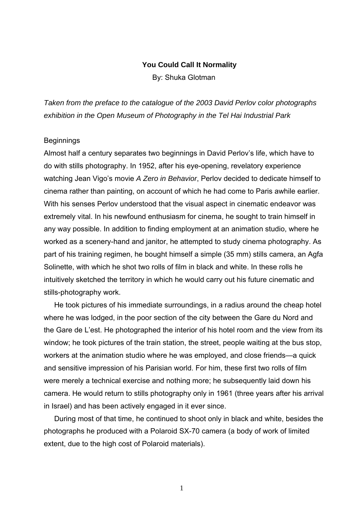#### **You Could Call It Normality**

By: Shuka Glotman

*Taken from the preface to the catalogue of the 2003 David Perlov color photographs exhibition in the Open Museum of Photography in the Tel Hai Industrial Park* 

#### **Beginnings**

Almost half a century separates two beginnings in David Perlov's life, which have to do with stills photography. In 1952, after his eye-opening, revelatory experience watching Jean Vigo's movie *A Zero in Behavior*, Perlov decided to dedicate himself to cinema rather than painting, on account of which he had come to Paris awhile earlier. With his senses Perlov understood that the visual aspect in cinematic endeavor was extremely vital. In his newfound enthusiasm for cinema, he sought to train himself in any way possible. In addition to finding employment at an animation studio, where he worked as a scenery-hand and janitor, he attempted to study cinema photography. As part of his training regimen, he bought himself a simple (35 mm) stills camera, an Agfa Solinette, with which he shot two rolls of film in black and white. In these rolls he intuitively sketched the territory in which he would carry out his future cinematic and stills-photography work.

He took pictures of his immediate surroundings, in a radius around the cheap hotel where he was lodged, in the poor section of the city between the Gare du Nord and the Gare de L'est. He photographed the interior of his hotel room and the view from its window; he took pictures of the train station, the street, people waiting at the bus stop, workers at the animation studio where he was employed, and close friends—a quick and sensitive impression of his Parisian world. For him, these first two rolls of film were merely a technical exercise and nothing more; he subsequently laid down his camera. He would return to stills photography only in 1961 (three years after his arrival in Israel) and has been actively engaged in it ever since.

During most of that time, he continued to shoot only in black and white, besides the photographs he produced with a Polaroid SX-70 camera (a body of work of limited extent, due to the high cost of Polaroid materials).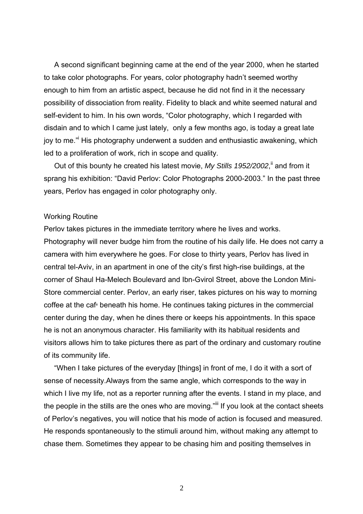A second significant beginning came at the end of the year 2000, when he started to take color photographs. For years, color photography hadn't seemed worthy enough to him from an artistic aspect, because he did not find in it the necessary possibility of dissociation from reality. Fidelity to black and white seemed natural and self-evident to him. In his own words, "Color photography, which I regarded with disdain and to which I came just lately, only a few months ago, is today a great late joy to me." His photography underwent a sudden and enthusiastic awakening, which led to a proliferation of work, rich in scope and quality.

Out of this bounty he created his latest movie, My Stills 1952/2002,<sup>ii</sup> and from it sprang his exhibition: "David Perlov: Color Photographs 2000-2003." In the past three years, Perlov has engaged in color photography only.

#### Working Routine

Perlov takes pictures in the immediate territory where he lives and works. Photography will never budge him from the routine of his daily life. He does not carry a camera with him everywhere he goes. For close to thirty years, Perlov has lived in central tel-Aviv, in an apartment in one of the city's first high-rise buildings, at the corner of Shaul Ha-Melech Boulevard and Ibn-Gvirol Street, above the London Mini-Store commercial center. Perlov, an early riser, takes pictures on his way to morning coffee at the cafי beneath his home. He continues taking pictures in the commercial center during the day, when he dines there or keeps his appointments. In this space he is not an anonymous character. His familiarity with its habitual residents and visitors allows him to take pictures there as part of the ordinary and customary routine of its community life.

"When I take pictures of the everyday [things] in front of me, I do it with a sort of sense of necessity.Always from the same angle, which corresponds to the way in which I live my life, not as a reporter running after the events. I stand in my place, and the people in the stills are the ones who are moving."<sup>iii</sup> If you look at the contact sheets of Perlov's negatives, you will notice that his mode of action is focused and measured. He responds spontaneously to the stimuli around him, without making any attempt to chase them. Sometimes they appear to be chasing him and positing themselves in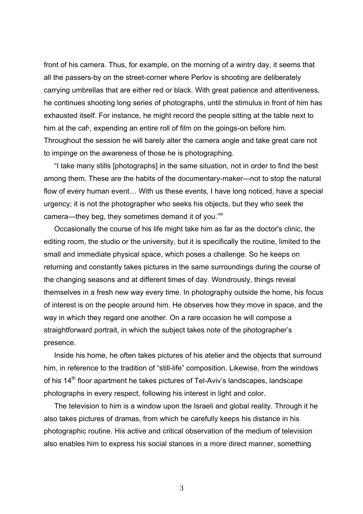front of his camera. Thus, for example, on the morning of a wintry day, it seems that all the passers-by on the street-corner where Perlov is shooting are deliberately carrying umbrellas that are either red or black. With great patience and attentiveness, he continues shooting long series of photographs, until the stimulus in front of him has exhausted itself. For instance, he might record the people sitting at the table next to him at the cafי, expending an entire roll of film on the goings-on before him. Throughout the session he will barely alter the camera angle and take great care not to impinge on the awareness of those he is photographing.

"I take many stills [photographs] in the same situation, not in order to find the best among them. These are the habits of the documentary-maker—not to stop the natural flow of every human event… With us these events, I have long noticed, have a special urgency; it is not the photographer who seeks his objects, but they who seek the camera—they beg, they sometimes demand it of you."<sup>iv</sup>

Occasionally the course of his life might take him as far as the doctor's clinic, the editing room, the studio or the university, but it is specifically the routine, limited to the small and immediate physical space, which poses a challenge. So he keeps on returning and constantly takes pictures in the same surroundings during the course of the changing seasons and at different times of day. Wondrously, things reveal themselves in a fresh new way every time. In photography outside the home, his focus of interest is on the people around him. He observes how they move in space, and the way in which they regard one another. On a rare occasion he will compose a straightforward portrait, in which the subject takes note of the photographer's presence.

Inside his home, he often takes pictures of his atelier and the objects that surround him, in reference to the tradition of "still-life" composition. Likewise, from the windows of his  $14<sup>th</sup>$  floor apartment he takes pictures of Tel-Aviv's landscapes, landscape photographs in every respect, following his interest in light and color.

The television to him is a window upon the Israeli and global reality. Through it he also takes pictures of dramas, from which he carefully keeps his distance in his photographic routine. His active and critical observation of the medium of television also enables him to express his social stances in a more direct manner, something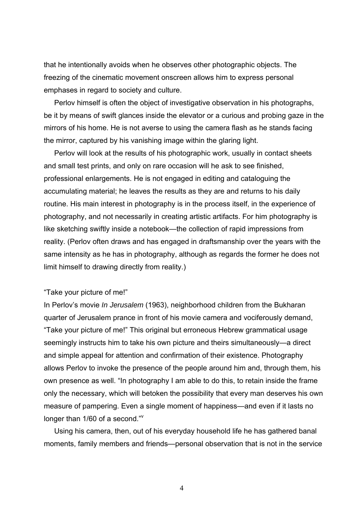that he intentionally avoids when he observes other photographic objects. The freezing of the cinematic movement onscreen allows him to express personal emphases in regard to society and culture.

Perlov himself is often the object of investigative observation in his photographs, be it by means of swift glances inside the elevator or a curious and probing gaze in the mirrors of his home. He is not averse to using the camera flash as he stands facing the mirror, captured by his vanishing image within the glaring light.

Perlov will look at the results of his photographic work, usually in contact sheets and small test prints, and only on rare occasion will he ask to see finished, professional enlargements. He is not engaged in editing and cataloguing the accumulating material; he leaves the results as they are and returns to his daily routine. His main interest in photography is in the process itself, in the experience of photography, and not necessarily in creating artistic artifacts. For him photography is like sketching swiftly inside a notebook—the collection of rapid impressions from reality. (Perlov often draws and has engaged in draftsmanship over the years with the same intensity as he has in photography, although as regards the former he does not limit himself to drawing directly from reality.)

## "Take your picture of me!"

In Perlov's movie *In Jerusalem* (1963), neighborhood children from the Bukharan quarter of Jerusalem prance in front of his movie camera and vociferously demand, "Take your picture of me!" This original but erroneous Hebrew grammatical usage seemingly instructs him to take his own picture and theirs simultaneously—a direct and simple appeal for attention and confirmation of their existence. Photography allows Perlov to invoke the presence of the people around him and, through them, his own presence as well. "In photography I am able to do this, to retain inside the frame only the necessary, which will betoken the possibility that every man deserves his own measure of pampering. Even a single moment of happiness—and even if it lasts no longer than 1/60 of a second."<sup>v</sup>

Using his camera, then, out of his everyday household life he has gathered banal moments, family members and friends—personal observation that is not in the service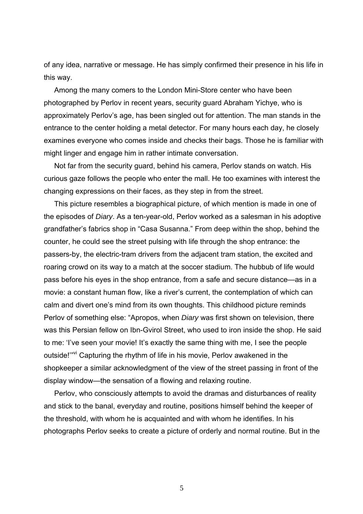of any idea, narrative or message. He has simply confirmed their presence in his life in this way.

Among the many comers to the London Mini-Store center who have been photographed by Perlov in recent years, security guard Abraham Yichye, who is approximately Perlov's age, has been singled out for attention. The man stands in the entrance to the center holding a metal detector. For many hours each day, he closely examines everyone who comes inside and checks their bags. Those he is familiar with might linger and engage him in rather intimate conversation.

Not far from the security guard, behind his camera, Perlov stands on watch. His curious gaze follows the people who enter the mall. He too examines with interest the changing expressions on their faces, as they step in from the street.

This picture resembles a biographical picture, of which mention is made in one of the episodes of *Diary*. As a ten-year-old, Perlov worked as a salesman in his adoptive grandfather's fabrics shop in "Casa Susanna." From deep within the shop, behind the counter, he could see the street pulsing with life through the shop entrance: the passers-by, the electric-tram drivers from the adjacent tram station, the excited and roaring crowd on its way to a match at the soccer stadium. The hubbub of life would pass before his eyes in the shop entrance, from a safe and secure distance—as in a movie: a constant human flow, like a river's current, the contemplation of which can calm and divert one's mind from its own thoughts. This childhood picture reminds Perlov of something else: "Apropos, when *Diary* was first shown on television, there was this Persian fellow on Ibn-Gvirol Street, who used to iron inside the shop. He said to me: 'I've seen your movie! It's exactly the same thing with me, I see the people outside!"<sup>vi</sup> Capturing the rhythm of life in his movie, Perlov awakened in the shopkeeper a similar acknowledgment of the view of the street passing in front of the display window—the sensation of a flowing and relaxing routine.

Perlov, who consciously attempts to avoid the dramas and disturbances of reality and stick to the banal, everyday and routine, positions himself behind the keeper of the threshold, with whom he is acquainted and with whom he identifies. In his photographs Perlov seeks to create a picture of orderly and normal routine. But in the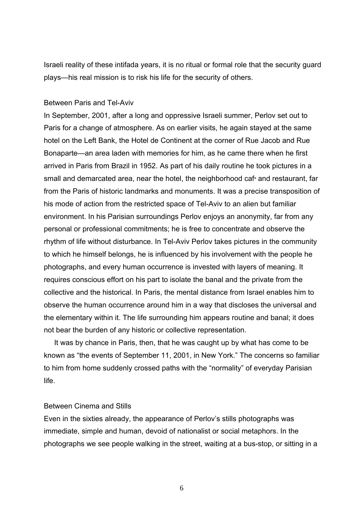Israeli reality of these intifada years, it is no ritual or formal role that the security guard plays—his real mission is to risk his life for the security of others.

## Between Paris and Tel-Aviv

In September, 2001, after a long and oppressive Israeli summer, Perlov set out to Paris for a change of atmosphere. As on earlier visits, he again stayed at the same hotel on the Left Bank, the Hotel de Continent at the corner of Rue Jacob and Rue Bonaparte—an area laden with memories for him, as he came there when he first arrived in Paris from Brazil in 1952. As part of his daily routine he took pictures in a small and demarcated area, near the hotel, the neighborhood cafי and restaurant, far from the Paris of historic landmarks and monuments. It was a precise transposition of his mode of action from the restricted space of Tel-Aviv to an alien but familiar environment. In his Parisian surroundings Perlov enjoys an anonymity, far from any personal or professional commitments; he is free to concentrate and observe the rhythm of life without disturbance. In Tel-Aviv Perlov takes pictures in the community to which he himself belongs, he is influenced by his involvement with the people he photographs, and every human occurrence is invested with layers of meaning. It requires conscious effort on his part to isolate the banal and the private from the collective and the historical. In Paris, the mental distance from Israel enables him to observe the human occurrence around him in a way that discloses the universal and the elementary within it. The life surrounding him appears routine and banal; it does not bear the burden of any historic or collective representation.

It was by chance in Paris, then, that he was caught up by what has come to be known as "the events of September 11, 2001, in New York." The concerns so familiar to him from home suddenly crossed paths with the "normality" of everyday Parisian life.

## Between Cinema and Stills

Even in the sixties already, the appearance of Perlov's stills photographs was immediate, simple and human, devoid of nationalist or social metaphors. In the photographs we see people walking in the street, waiting at a bus-stop, or sitting in a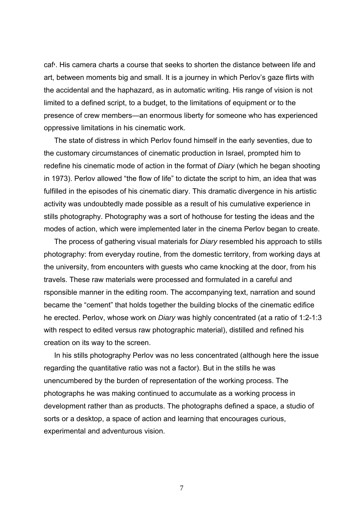cafי. His camera charts a course that seeks to shorten the distance between life and art, between moments big and small. It is a journey in which Perlov's gaze flirts with the accidental and the haphazard, as in automatic writing. His range of vision is not limited to a defined script, to a budget, to the limitations of equipment or to the presence of crew members—an enormous liberty for someone who has experienced oppressive limitations in his cinematic work.

The state of distress in which Perlov found himself in the early seventies, due to the customary circumstances of cinematic production in Israel, prompted him to redefine his cinematic mode of action in the format of *Diary* (which he began shooting in 1973). Perlov allowed "the flow of life" to dictate the script to him, an idea that was fulfilled in the episodes of his cinematic diary. This dramatic divergence in his artistic activity was undoubtedly made possible as a result of his cumulative experience in stills photography. Photography was a sort of hothouse for testing the ideas and the modes of action, which were implemented later in the cinema Perlov began to create.

The process of gathering visual materials for *Diary* resembled his approach to stills photography: from everyday routine, from the domestic territory, from working days at the university, from encounters with guests who came knocking at the door, from his travels. These raw materials were processed and formulated in a careful and rsponsible manner in the editing room. The accompanying text, narration and sound became the "cement" that holds together the building blocks of the cinematic edifice he erected. Perlov, whose work on *Diary* was highly concentrated (at a ratio of 1:2-1:3 with respect to edited versus raw photographic material), distilled and refined his creation on its way to the screen.

In his stills photography Perlov was no less concentrated (although here the issue regarding the quantitative ratio was not a factor). But in the stills he was unencumbered by the burden of representation of the working process. The photographs he was making continued to accumulate as a working process in development rather than as products. The photographs defined a space, a studio of sorts or a desktop, a space of action and learning that encourages curious, experimental and adventurous vision.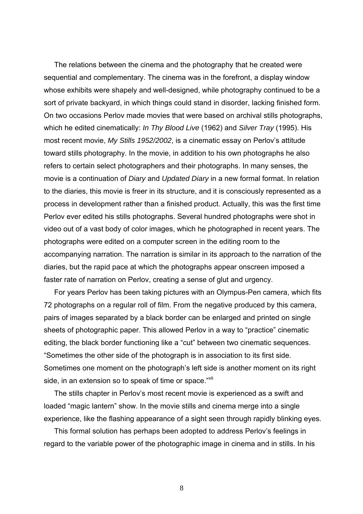The relations between the cinema and the photography that he created were sequential and complementary. The cinema was in the forefront, a display window whose exhibits were shapely and well-designed, while photography continued to be a sort of private backyard, in which things could stand in disorder, lacking finished form. On two occasions Perlov made movies that were based on archival stills photographs, which he edited cinematically: *In Thy Blood Live* (1962) and *Silver Tray* (1995). His most recent movie, *My Stills 1952/2002*, is a cinematic essay on Perlov's attitude toward stills photography. In the movie, in addition to his own photographs he also refers to certain select photographers and their photographs. In many senses, the movie is a continuation of *Diary* and *Updated Diary* in a new formal format. In relation to the diaries, this movie is freer in its structure, and it is consciously represented as a process in development rather than a finished product. Actually, this was the first time Perlov ever edited his stills photographs. Several hundred photographs were shot in video out of a vast body of color images, which he photographed in recent years. The photographs were edited on a computer screen in the editing room to the accompanying narration. The narration is similar in its approach to the narration of the diaries, but the rapid pace at which the photographs appear onscreen imposed a faster rate of narration on Perlov, creating a sense of glut and urgency.

For years Perlov has been taking pictures with an Olympus-Pen camera, which fits 72 photographs on a regular roll of film. From the negative produced by this camera, pairs of images separated by a black border can be enlarged and printed on single sheets of photographic paper. This allowed Perlov in a way to "practice" cinematic editing, the black border functioning like a "cut" between two cinematic sequences. "Sometimes the other side of the photograph is in association to its first side. Sometimes one moment on the photograph's left side is another moment on its right side, in an extension so to speak of time or space."vil

The stills chapter in Perlov's most recent movie is experienced as a swift and loaded "magic lantern" show. In the movie stills and cinema merge into a single experience, like the flashing appearance of a sight seen through rapidly blinking eyes.

This formal solution has perhaps been adopted to address Perlov's feelings in regard to the variable power of the photographic image in cinema and in stills. In his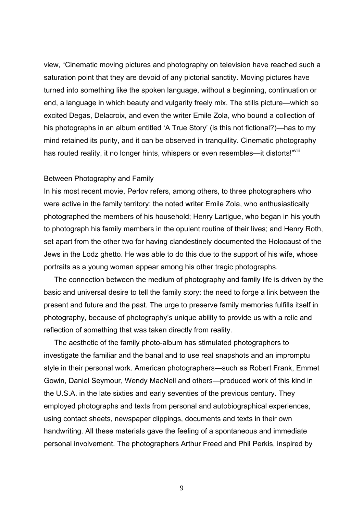view, "Cinematic moving pictures and photography on television have reached such a saturation point that they are devoid of any pictorial sanctity. Moving pictures have turned into something like the spoken language, without a beginning, continuation or end, a language in which beauty and vulgarity freely mix. The stills picture—which so excited Degas, Delacroix, and even the writer Emile Zola, who bound a collection of his photographs in an album entitled 'A True Story' (is this not fictional?)—has to my mind retained its purity, and it can be observed in tranquility. Cinematic photography has routed reality, it no longer hints, whispers or even resembles—it distorts!"Vill

# Between Photography and Family

In his most recent movie, Perlov refers, among others, to three photographers who were active in the family territory: the noted writer Emile Zola, who enthusiastically photographed the members of his household; Henry Lartigue, who began in his youth to photograph his family members in the opulent routine of their lives; and Henry Roth, set apart from the other two for having clandestinely documented the Holocaust of the Jews in the Lodz ghetto. He was able to do this due to the support of his wife, whose portraits as a young woman appear among his other tragic photographs.

The connection between the medium of photography and family life is driven by the basic and universal desire to tell the family story: the need to forge a link between the present and future and the past. The urge to preserve family memories fulfills itself in photography, because of photography's unique ability to provide us with a relic and reflection of something that was taken directly from reality.

The aesthetic of the family photo-album has stimulated photographers to investigate the familiar and the banal and to use real snapshots and an impromptu style in their personal work. American photographers—such as Robert Frank, Emmet Gowin, Daniel Seymour, Wendy MacNeil and others—produced work of this kind in the U.S.A. in the late sixties and early seventies of the previous century. They employed photographs and texts from personal and autobiographical experiences, using contact sheets, newspaper clippings, documents and texts in their own handwriting. All these materials gave the feeling of a spontaneous and immediate personal involvement. The photographers Arthur Freed and Phil Perkis, inspired by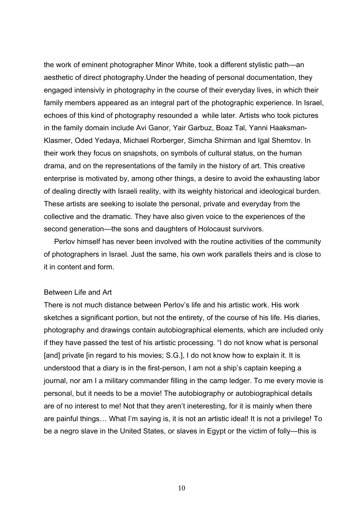the work of eminent photographer Minor White, took a different stylistic path—an aesthetic of direct photography.Under the heading of personal documentation, they engaged intensivly in photography in the course of their everyday lives, in which their family members appeared as an integral part of the photographic experience. In Israel, echoes of this kind of photography resounded a while later. Artists who took pictures in the family domain include Avi Ganor, Yair Garbuz, Boaz Tal, Yanni Haaksman-Klasmer, Oded Yedaya, Michael Rorberger, Simcha Shirman and Igal Shemtov. In their work they focus on snapshots, on symbols of cultural status, on the human drama, and on the representations of the family in the history of art. This creative enterprise is motivated by, among other things, a desire to avoid the exhausting labor of dealing directly with Israeli reality, with its weighty historical and ideological burden. These artists are seeking to isolate the personal, private and everyday from the collective and the dramatic. They have also given voice to the experiences of the second generation—the sons and daughters of Holocaust survivors.

Perlov himself has never been involved with the routine activities of the community of photographers in Israel. Just the same, his own work parallels theirs and is close to it in content and form.

## Between Life and Art

There is not much distance between Perlov's life and his artistic work. His work sketches a significant portion, but not the entirety, of the course of his life. His diaries, photography and drawings contain autobiographical elements, which are included only if they have passed the test of his artistic processing. "I do not know what is personal [and] private [in regard to his movies; S.G.], I do not know how to explain it. It is understood that a diary is in the first-person, I am not a ship's captain keeping a journal, nor am I a military commander filling in the camp ledger. To me every movie is personal, but it needs to be a movie! The autobiography or autobiographical details are of no interest to me! Not that they aren't ineteresting, for it is mainly when there are painful things… What I'm saying is, it is not an artistic ideal! It is not a privilege! To be a negro slave in the United States, or slaves in Egypt or the victim of folly—this is